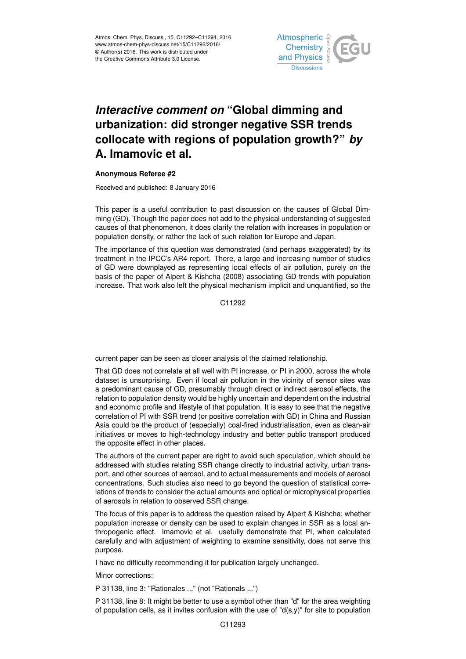

## *Interactive comment on* **"Global dimming and urbanization: did stronger negative SSR trends collocate with regions of population growth?"** *by* **A. Imamovic et al.**

## **Anonymous Referee #2**

Received and published: 8 January 2016

This paper is a useful contribution to past discussion on the causes of Global Dimming (GD). Though the paper does not add to the physical understanding of suggested causes of that phenomenon, it does clarify the relation with increases in population or population density, or rather the lack of such relation for Europe and Japan.

The importance of this question was demonstrated (and perhaps exaggerated) by its treatment in the IPCC's AR4 report. There, a large and increasing number of studies of GD were downplayed as representing local effects of air pollution, purely on the basis of the paper of Alpert & Kishcha (2008) associating GD trends with population increase. That work also left the physical mechanism implicit and unquantified, so the

C<sub>11292</sub>

current paper can be seen as closer analysis of the claimed relationship.

That GD does not correlate at all well with PI increase, or PI in 2000, across the whole dataset is unsurprising. Even if local air pollution in the vicinity of sensor sites was a predominant cause of GD, presumably through direct or indirect aerosol effects, the relation to population density would be highly uncertain and dependent on the industrial and economic profile and lifestyle of that population. It is easy to see that the negative correlation of PI with SSR trend (or positive correlation with GD) in China and Russian Asia could be the product of (especially) coal-fired industrialisation, even as clean-air initiatives or moves to high-technology industry and better public transport produced the opposite effect in other places.

The authors of the current paper are right to avoid such speculation, which should be addressed with studies relating SSR change directly to industrial activity, urban transport, and other sources of aerosol, and to actual measurements and models of aerosol concentrations. Such studies also need to go beyond the question of statistical correlations of trends to consider the actual amounts and optical or microphysical properties of aerosols in relation to observed SSR change.

The focus of this paper is to address the question raised by Alpert & Kishcha; whether population increase or density can be used to explain changes in SSR as a local anthropogenic effect. Imamovic et al. usefully demonstrate that PI, when calculated carefully and with adjustment of weighting to examine sensitivity, does not serve this purpose.

I have no difficulty recommending it for publication largely unchanged.

Minor corrections:

P 31138, line 3: "Rationales ..." (not "Rationals ...")

P 31138, line 8: It might be better to use a symbol other than "d" for the area weighting of population cells, as it invites confusion with the use of " $d(s,y)$ " for site to population